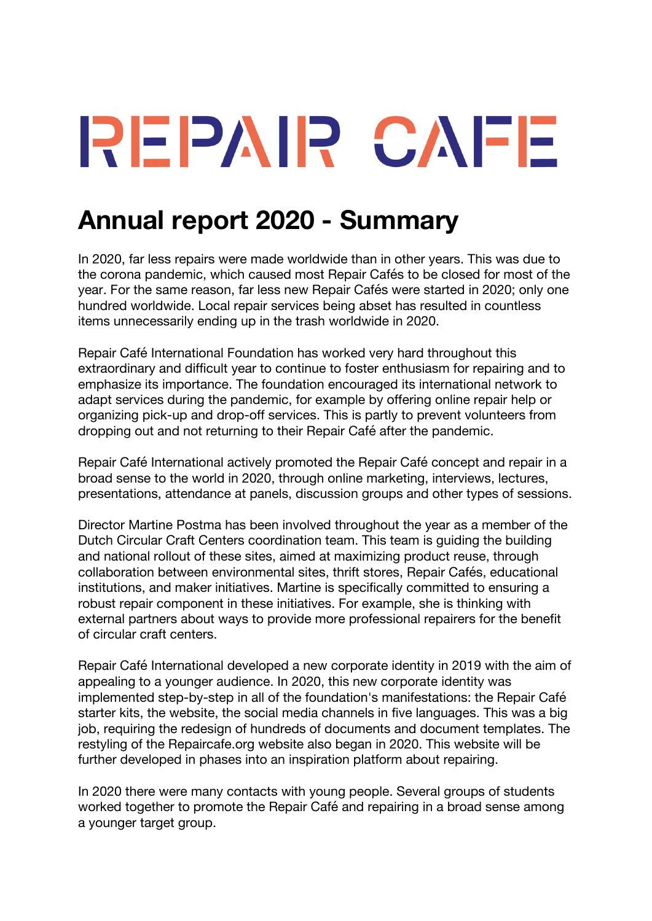## REPAIR CAFE

## **Annual report 2020 - Summary**

In 2020, far less repairs were made worldwide than in other years. This was due to the corona pandemic, which caused most Repair Cafés to be closed for most of the year. For the same reason, far less new Repair Cafés were started in 2020; only one hundred worldwide. Local repair services being abset has resulted in countless items unnecessarily ending up in the trash worldwide in 2020.

Repair Café International Foundation has worked very hard throughout this extraordinary and difficult year to continue to foster enthusiasm for repairing and to emphasize its importance. The foundation encouraged its international network to adapt services during the pandemic, for example by offering online repair help or organizing pick-up and drop-off services. This is partly to prevent volunteers from dropping out and not returning to their Repair Café after the pandemic.

Repair Café International actively promoted the Repair Café concept and repair in a broad sense to the world in 2020, through online marketing, interviews, lectures, presentations, attendance at panels, discussion groups and other types of sessions.

Director Martine Postma has been involved throughout the year as a member of the Dutch Circular Craft Centers coordination team. This team is guiding the building and national rollout of these sites, aimed at maximizing product reuse, through collaboration between environmental sites, thrift stores, Repair Cafés, educational institutions, and maker initiatives. Martine is specifically committed to ensuring a robust repair component in these initiatives. For example, she is thinking with external partners about ways to provide more professional repairers for the benefit of circular craft centers.

Repair Café International developed a new corporate identity in 2019 with the aim of appealing to a younger audience. In 2020, this new corporate identity was implemented step-by-step in all of the foundation's manifestations: the Repair Café starter kits, the website, the social media channels in five languages. This was a big job, requiring the redesign of hundreds of documents and document templates. The restyling of the Repaircafe.org website also began in 2020. This website will be further developed in phases into an inspiration platform about repairing.

In 2020 there were many contacts with young people. Several groups of students worked together to promote the Repair Café and repairing in a broad sense among a younger target group.